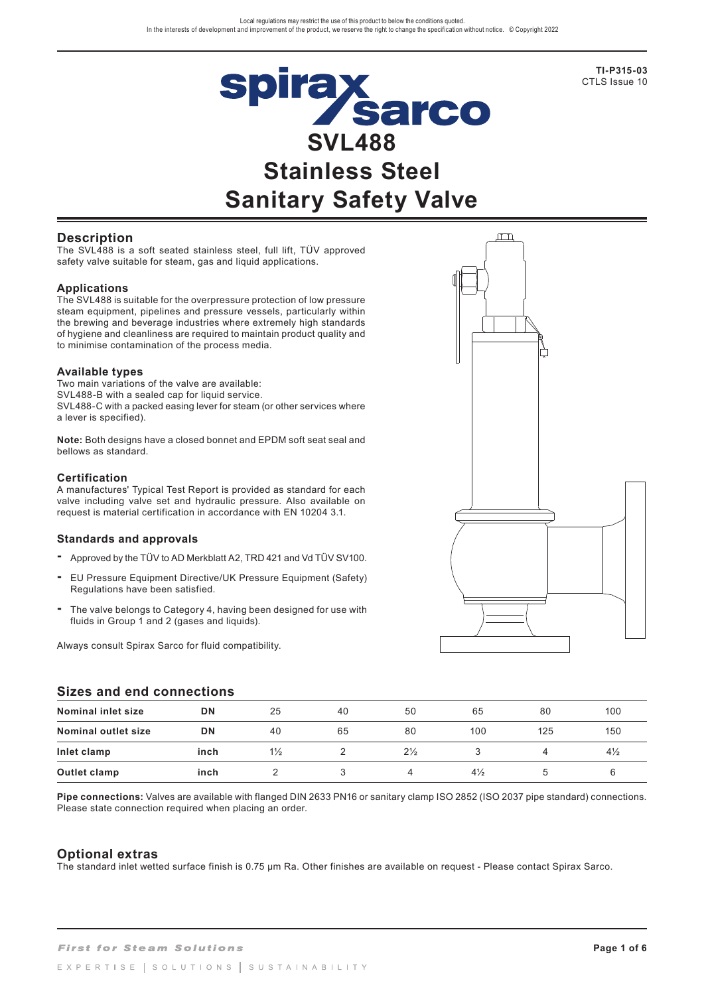

**TI-P315-03** CTLS Issue 10

### **Description**

The SVL488 is a soft seated stainless steel, full lift, TÜV approved safety valve suitable for steam, gas and liquid applications.

#### **Applications**

The SVL488 is suitable for the overpressure protection of low pressure steam equipment, pipelines and pressure vessels, particularly within the brewing and beverage industries where extremely high standards of hygiene and cleanliness are required to maintain product quality and to minimise contamination of the process media.

#### **Available types**

Two main variations of the valve are available: SVL488-B with a sealed cap for liquid service. SVL488-C with a packed easing lever for steam (or other services where a lever is specified).

**Note:** Both designs have a closed bonnet and EPDM soft seat seal and bellows as standard.

#### **Certification**

A manufactures' Typical Test Report is provided as standard for each valve including valve set and hydraulic pressure. Also available on request is material certification in accordance with EN 10204 3.1.

#### **Standards and approvals**

- **-** Approved by the TÜV to AD Merkblatt A2, TRD 421 and Vd TÜV SV100.
- **-** EU Pressure Equipment Directive/UK Pressure Equipment (Safety) Regulations have been satisfied.
- **-** The valve belongs to Category 4, having been designed for use with fluids in Group 1 and 2 (gases and liquids).

Always consult Spirax Sarco for fluid compatibility.

### **Sizes and end connections**

| <u>UILGS ANU GNU CUNNGCHUNS</u> |      |                |    |                |                |     |                |  |
|---------------------------------|------|----------------|----|----------------|----------------|-----|----------------|--|
| Nominal inlet size              | DN   | 25             | 40 | 50             | 65             | 80  | 100            |  |
| <b>Nominal outlet size</b>      | DN   | 40             | 65 | 80             | 100            | 125 | 150            |  |
| Inlet clamp                     | inch | $1\frac{1}{2}$ |    | $2\frac{1}{2}$ |                | Δ   | $4\frac{1}{2}$ |  |
| Outlet clamp                    | inch |                |    |                | $4\frac{1}{2}$ |     |                |  |

**Pipe connections:** Valves are available with flanged DIN 2633 PN16 or sanitary clamp ISO 2852 (ISO 2037 pipe standard) connections. Please state connection required when placing an order.

#### **Optional extras**

The standard inlet wetted surface finish is 0.75 µm Ra. Other finishes are available on request - Please contact Spirax Sarco.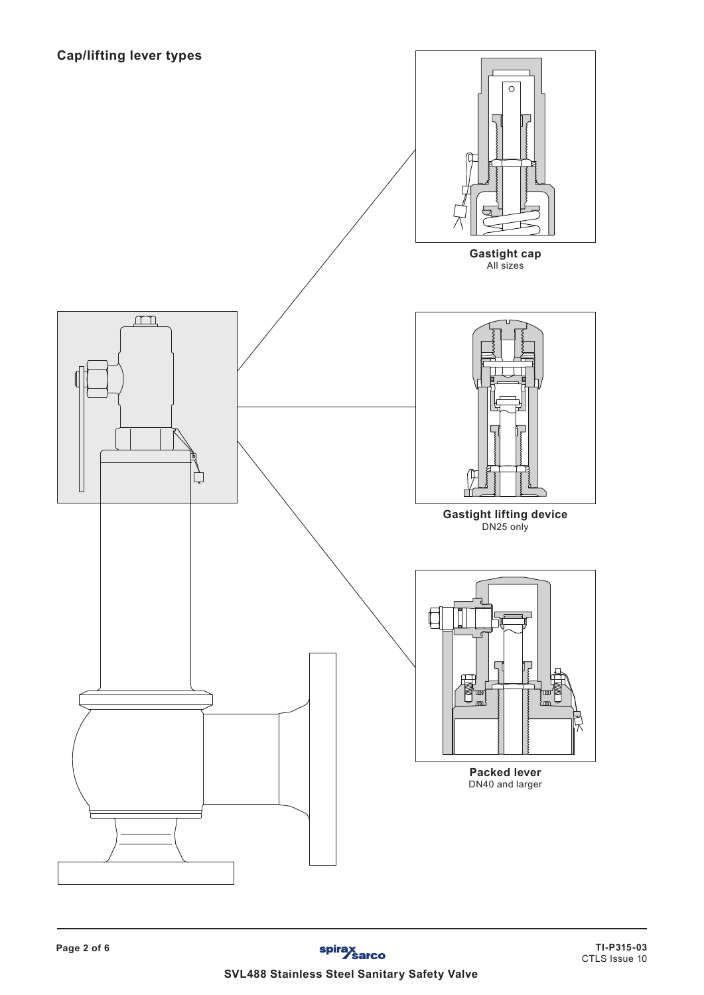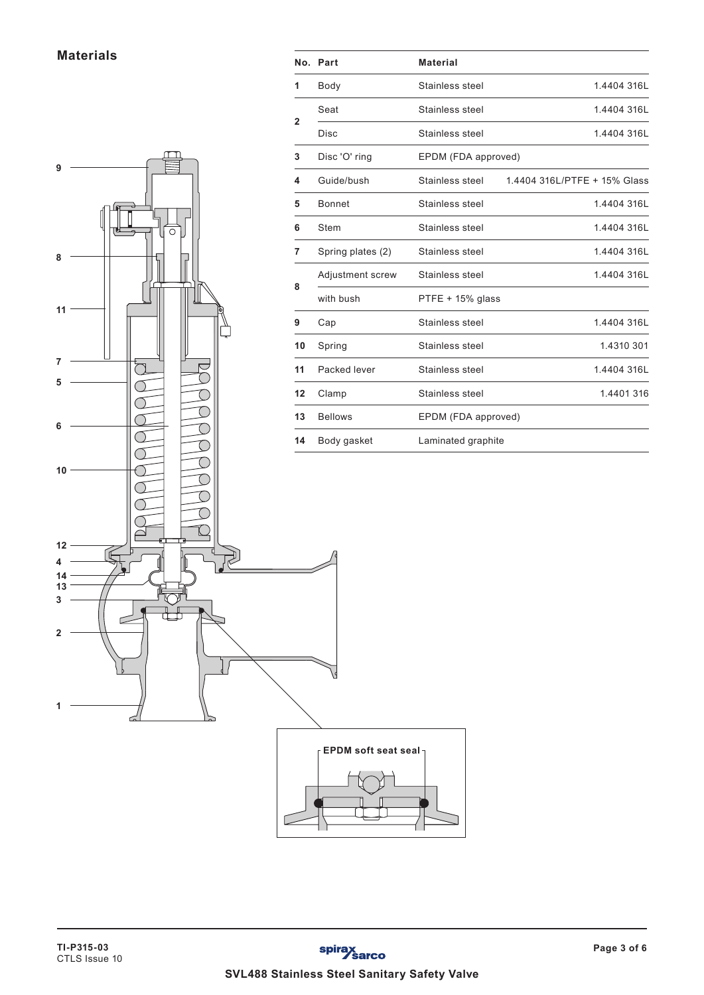**Materials**



**No. Part Material**

1 Body Stainless steel 1.4404 316L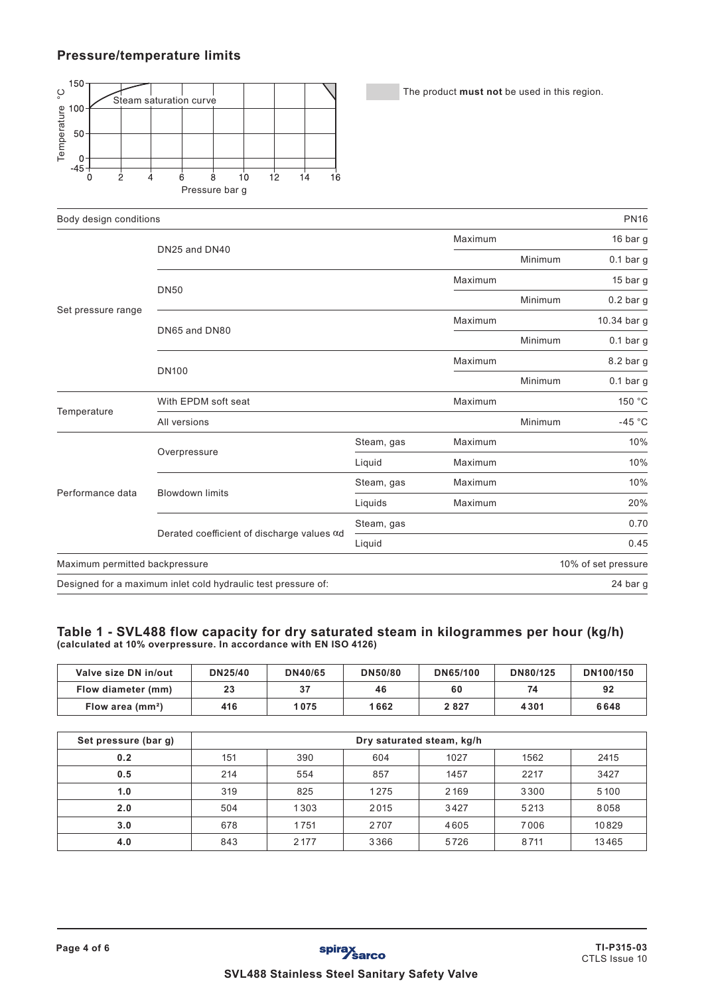## **Pressure/temperature limits**



The product **must not** be used in this region.

| Body design conditions         |                                                               |            |         |             | <b>PN16</b>         |
|--------------------------------|---------------------------------------------------------------|------------|---------|-------------|---------------------|
|                                |                                                               |            | Maximum |             | 16 bar g            |
|                                | DN25 and DN40                                                 |            | Minimum | $0.1$ bar g |                     |
|                                | <b>DN50</b>                                                   | Maximum    |         | 15 bar g    |                     |
| Set pressure range             |                                                               |            |         | Minimum     | $0.2$ bar g         |
|                                | DN65 and DN80                                                 | Maximum    |         | 10.34 bar g |                     |
|                                |                                                               |            | Minimum | $0.1$ bar g |                     |
|                                | <b>DN100</b>                                                  | Maximum    |         | 8.2 bar g   |                     |
|                                |                                                               |            | Minimum | $0.1$ bar g |                     |
| Temperature                    | With EPDM soft seat                                           | Maximum    |         | 150 °C      |                     |
|                                | All versions                                                  |            | Minimum | $-45 °C$    |                     |
|                                |                                                               | Steam, gas | Maximum |             | 10%                 |
|                                | Overpressure                                                  | Liquid     | Maximum |             | 10%                 |
| Performance data               | <b>Blowdown limits</b>                                        | Steam, gas | Maximum |             | 10%                 |
|                                |                                                               | Liquids    | Maximum |             | 20%                 |
|                                |                                                               | Steam, gas |         |             | 0.70                |
|                                | Derated coefficient of discharge values $\alpha$ d            | Liquid     |         |             | 0.45                |
| Maximum permitted backpressure |                                                               |            |         |             | 10% of set pressure |
|                                | Designed for a maximum inlet cold hydraulic test pressure of: |            |         |             | 24 bar g            |

### **Table 1 - SVL488 flow capacity for dry saturated steam in kilogrammes per hour (kg/h) (calculated at 10% overpressure. In accordance with EN ISO 4126)**

| Valve size DN in/out | DN25/40 | <b>DN40/65</b> | <b>DN50/80</b> | DN65/100 | DN80/125 | DN100/150 |
|----------------------|---------|----------------|----------------|----------|----------|-----------|
| Flow diameter (mm)   | 23      | 37             | 46             | 60       | 74       | 92        |
| Flow area $(mm^2)$   | 416     | 1075           | 1662           | 2827     | 4301     | 6648      |

| Set pressure (bar g) |     | Dry saturated steam, kg/h  |      |      |      |       |  |  |
|----------------------|-----|----------------------------|------|------|------|-------|--|--|
| 0.2                  | 151 | 604<br>390<br>1027<br>1562 |      |      |      |       |  |  |
| 0.5                  | 214 | 554                        | 857  | 1457 | 2217 | 3427  |  |  |
| 1.0                  | 319 | 825                        | 1275 | 2169 | 3300 | 5100  |  |  |
| 2.0                  | 504 | 1303                       | 2015 | 3427 | 5213 | 8058  |  |  |
| 3.0                  | 678 | 1751                       | 2707 | 4605 | 7006 | 10829 |  |  |
| 4.0                  | 843 | 2177                       | 3366 | 5726 | 8711 | 13465 |  |  |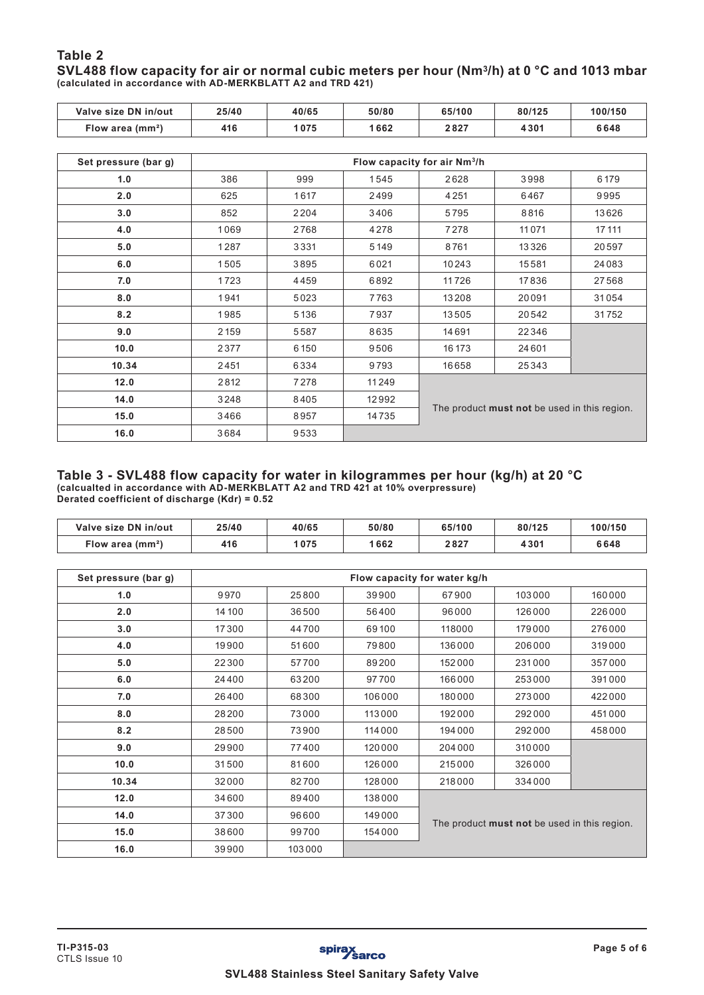### **Table 2 SVL488 flow capacity for air or normal cubic meters per hour (Nm3/h) at 0 °C and 1013 mbar (calculated in accordance with AD-MERKBLATT A2 and TRD 421)**

| Valve size DN in/out | 25/40 | 40/65 | 50/80 | 65/100                                       | 80/125 | 100/150 |  |
|----------------------|-------|-------|-------|----------------------------------------------|--------|---------|--|
| Flow area $(mm2)$    | 416   | 1075  | 1662  | 2827                                         | 4301   | 6648    |  |
|                      |       |       |       |                                              |        |         |  |
| Set pressure (bar g) |       |       |       | Flow capacity for air Nm <sup>3</sup> /h     |        |         |  |
| 1.0                  | 386   | 999   | 1545  | 2628                                         | 3998   | 6179    |  |
| 2.0                  | 625   | 1617  | 2499  | 4251                                         | 6467   | 9995    |  |
| 3.0                  | 852   | 2204  | 3406  | 5795                                         | 8816   | 13626   |  |
| 4.0                  | 1069  | 2768  | 4278  | 7278                                         | 11071  | 17 11 1 |  |
| 5.0                  | 1287  | 3331  | 5149  | 8761                                         | 13326  | 20597   |  |
| 6.0                  | 1505  | 3895  | 6021  | 10243                                        | 15581  | 24083   |  |
| 7.0                  | 1723  | 4459  | 6892  | 11726                                        | 17836  | 27568   |  |
| 8.0                  | 1941  | 5023  | 7763  | 13208                                        | 20091  | 31054   |  |
| 8.2                  | 1985  | 5136  | 7937  | 13505                                        | 20542  | 31752   |  |
| 9.0                  | 2159  | 5587  | 8635  | 14691                                        | 22346  |         |  |
| 10.0                 | 2377  | 6150  | 9506  | 16 173                                       | 24601  |         |  |
| 10.34                | 2451  | 6334  | 9793  | 16658                                        | 25343  |         |  |
| 12.0                 | 2812  | 7278  | 11249 |                                              |        |         |  |
| 14.0                 | 3248  | 8405  | 12992 |                                              |        |         |  |
| 15.0                 | 3466  | 8957  | 14735 | The product must not be used in this region. |        |         |  |
| 16.0                 | 3684  | 9533  |       |                                              |        |         |  |

#### **Table 3 - SVL488 flow capacity for water in kilogrammes per hour (kg/h) at 20 °C (calcualted in accordance with AD-MERKBLATT A2 and TRD 421 at 10% overpressure) Derated coefficient of discharge (Kdr) = 0.52**

| Valve size DN in/out | 25/40 | 40/65 | 50/80 | 65/100 | 80/125 | 100/150 |
|----------------------|-------|-------|-------|--------|--------|---------|
| Flow area $(mm2)$    | 416   | 075   | 1 662 | 2827   | 4301   | 6648    |

| Set pressure (bar g) |        | Flow capacity for water kg/h |        |                                              |        |        |  |  |
|----------------------|--------|------------------------------|--------|----------------------------------------------|--------|--------|--|--|
| 1.0                  | 9970   | 25800                        | 39900  | 67900                                        | 103000 | 160000 |  |  |
| 2.0                  | 14 100 | 36500                        | 56400  | 96000                                        | 126000 | 226000 |  |  |
| 3.0                  | 17300  | 44700                        | 69100  | 118000                                       | 179000 | 276000 |  |  |
| 4.0                  | 19900  | 51600                        | 79800  | 136000                                       | 206000 | 319000 |  |  |
| 5.0                  | 22300  | 57700                        | 89200  | 152000                                       | 231000 | 357000 |  |  |
| 6.0                  | 24400  | 63200                        | 97700  | 166000                                       | 253000 | 391000 |  |  |
| 7.0                  | 26400  | 68300                        | 106000 | 180000                                       | 273000 | 422000 |  |  |
| 8.0                  | 28200  | 73000                        | 113000 | 192000                                       | 292000 | 451000 |  |  |
| 8.2                  | 28500  | 73900                        | 114000 | 194000                                       | 292000 | 458000 |  |  |
| 9.0                  | 29900  | 77400                        | 120000 | 204 000                                      | 310000 |        |  |  |
| 10.0                 | 31500  | 81600                        | 126000 | 215000                                       | 326000 |        |  |  |
| 10.34                | 32000  | 82700                        | 128000 | 218000                                       | 334000 |        |  |  |
| 12.0                 | 34600  | 89400                        | 138000 | The product must not be used in this region. |        |        |  |  |
| 14.0                 | 37300  | 96600                        | 149000 |                                              |        |        |  |  |
| 15.0                 | 38600  | 99700                        | 154000 |                                              |        |        |  |  |
| 16.0                 | 39900  | 103000                       |        |                                              |        |        |  |  |